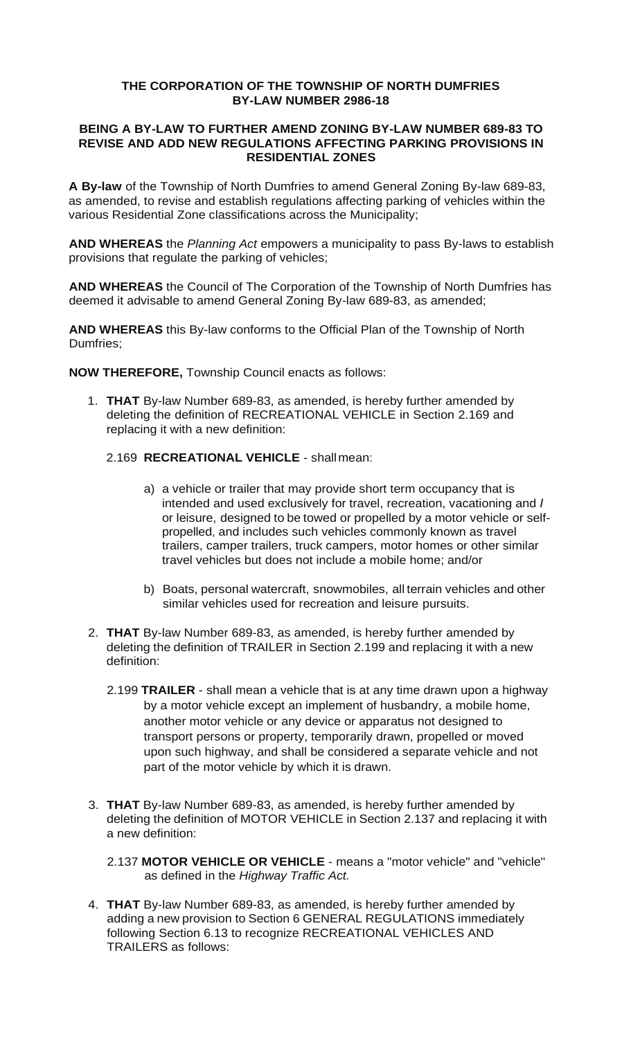## **THE CORPORATION OF THE TOWNSHIP OF NORTH DUMFRIES BY-LAW NUMBER 2986-18**

## **BEING A BY-LAW TO FURTHER AMEND ZONING BY-LAW NUMBER 689-83 TO REVISE AND ADD NEW REGULATIONS AFFECTING PARKING PROVISIONS IN RESIDENTIAL ZONES**

**A By-law** of the Township of North Dumfries to amend General Zoning By-law 689-83, as amended, to revise and establish regulations affecting parking of vehicles within the various Residential Zone classifications across the Municipality;

**AND WHEREAS** the *Planning Act* empowers a municipality to pass By-laws to establish provisions that regulate the parking of vehicles;

**AND WHEREAS** the Council of The Corporation of the Township of North Dumfries has deemed it advisable to amend General Zoning By-law 689-83, as amended;

**AND WHEREAS** this By-law conforms to the Official Plan of the Township of North Dumfries;

**NOW THEREFORE,** Township Council enacts as follows:

- 1. **THAT** By-law Number 689-83, as amended, is hereby further amended by deleting the definition of RECREATIONAL VEHICLE in Section 2.169 and replacing it with a new definition:
	- 2.169 **RECREATIONAL VEHICLE**  shallmean:
		- a) a vehicle or trailer that may provide short term occupancy that is intended and used exclusively for travel, recreation, vacationing and *I*  or leisure, designed to be towed or propelled by a motor vehicle or selfpropelled, and includes such vehicles commonly known as travel trailers, camper trailers, truck campers, motor homes or other similar travel vehicles but does not include a mobile home; and/or
		- b) Boats, personal watercraft, snowmobiles, all terrain vehicles and other similar vehicles used for recreation and leisure pursuits.
- 2. **THAT** By-law Number 689-83, as amended, is hereby further amended by deleting the definition of TRAILER in Section 2.199 and replacing it with a new definition:
	- 2.199 **TRAILER**  shall mean a vehicle that is at any time drawn upon a highway by a motor vehicle except an implement of husbandry, a mobile home, another motor vehicle or any device or apparatus not designed to transport persons or property, temporarily drawn, propelled or moved upon such highway, and shall be considered a separate vehicle and not part of the motor vehicle by which it is drawn.
- 3. **THAT** By-law Number 689-83, as amended, is hereby further amended by deleting the definition of MOTOR VEHICLE in Section 2.137 and replacing it with a new definition:
	- 2.137 **MOTOR VEHICLE OR VEHICLE**  means a "motor vehicle" and "vehicle" as defined in the *Highway Traffic Act.*
- 4. **THAT** By-law Number 689-83, as amended, is hereby further amended by adding a new provision to Section 6 GENERAL REGULATIONS immediately following Section 6.13 to recognize RECREATIONAL VEHICLES AND TRAILERS as follows: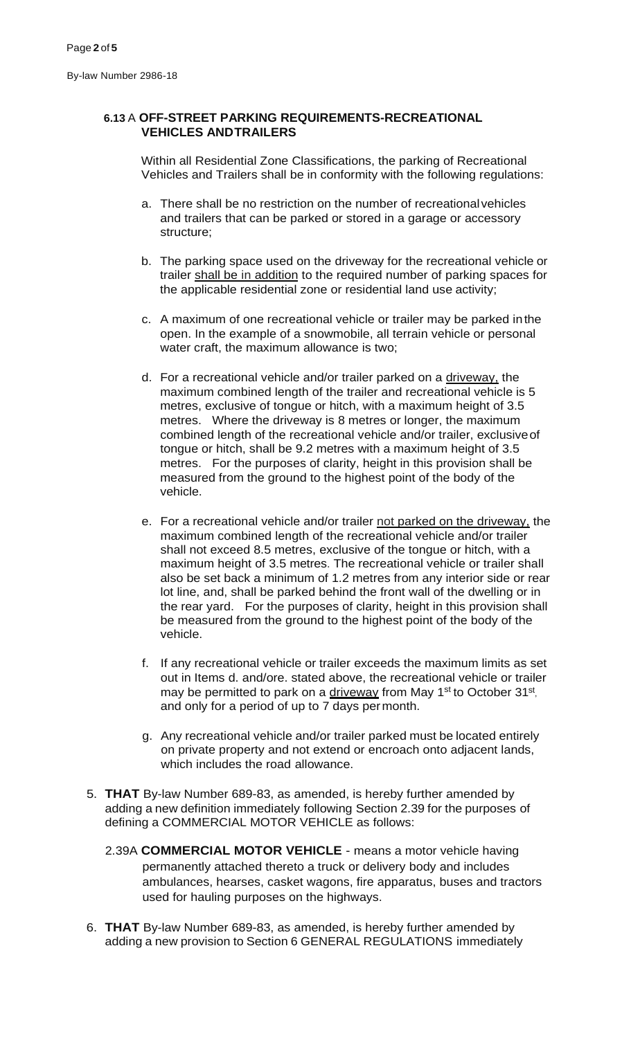## **6.13** A **OFF-STREET PARKING REQUIREMENTS-RECREATIONAL VEHICLES ANDTRAILERS**

Within all Residential Zone Classifications, the parking of Recreational Vehicles and Trailers shall be in conformity with the following regulations:

- a. There shall be no restriction on the number of recreationalvehicles and trailers that can be parked or stored in a garage or accessory structure;
- b. The parking space used on the driveway for the recreational vehicle or trailer shall be in addition to the required number of parking spaces for the applicable residential zone or residential land use activity;
- c. A maximum of one recreational vehicle or trailer may be parked inthe open. In the example of a snowmobile, all terrain vehicle or personal water craft, the maximum allowance is two;
- d. For a recreational vehicle and/or trailer parked on a driveway, the maximum combined length of the trailer and recreational vehicle is 5 metres, exclusive of tongue or hitch, with a maximum height of 3.5 metres. Where the driveway is 8 metres or longer, the maximum combined length of the recreational vehicle and/or trailer, exclusiveof tongue or hitch, shall be 9.2 metres with a maximum height of 3.5 metres. For the purposes of clarity, height in this provision shall be measured from the ground to the highest point of the body of the vehicle.
- e. For a recreational vehicle and/or trailer not parked on the driveway, the maximum combined length of the recreational vehicle and/or trailer shall not exceed 8.5 metres, exclusive of the tongue or hitch, with a maximum height of 3.5 metres. The recreational vehicle or trailer shall also be set back a minimum of 1.2 metres from any interior side or rear lot line, and, shall be parked behind the front wall of the dwelling or in the rear yard. For the purposes of clarity, height in this provision shall be measured from the ground to the highest point of the body of the vehicle.
- f. If any recreational vehicle or trailer exceeds the maximum limits as set out in Items d. and/ore. stated above, the recreational vehicle or trailer may be permitted to park on a driveway from May 1<sup>st</sup> to October 31<sup>st</sup>, and only for a period of up to 7 days permonth.
- g. Any recreational vehicle and/or trailer parked must be located entirely on private property and not extend or encroach onto adjacent lands, which includes the road allowance.
- 5. **THAT** By-law Number 689-83, as amended, is hereby further amended by adding a new definition immediately following Section 2.39 for the purposes of defining a COMMERCIAL MOTOR VEHICLE as follows:
	- 2.39A **COMMERCIAL MOTOR VEHICLE**  means a motor vehicle having permanently attached thereto a truck or delivery body and includes ambulances, hearses, casket wagons, fire apparatus, buses and tractors used for hauling purposes on the highways.
- 6. **THAT** By-law Number 689-83, as amended, is hereby further amended by adding a new provision to Section 6 GENERAL REGULATIONS immediately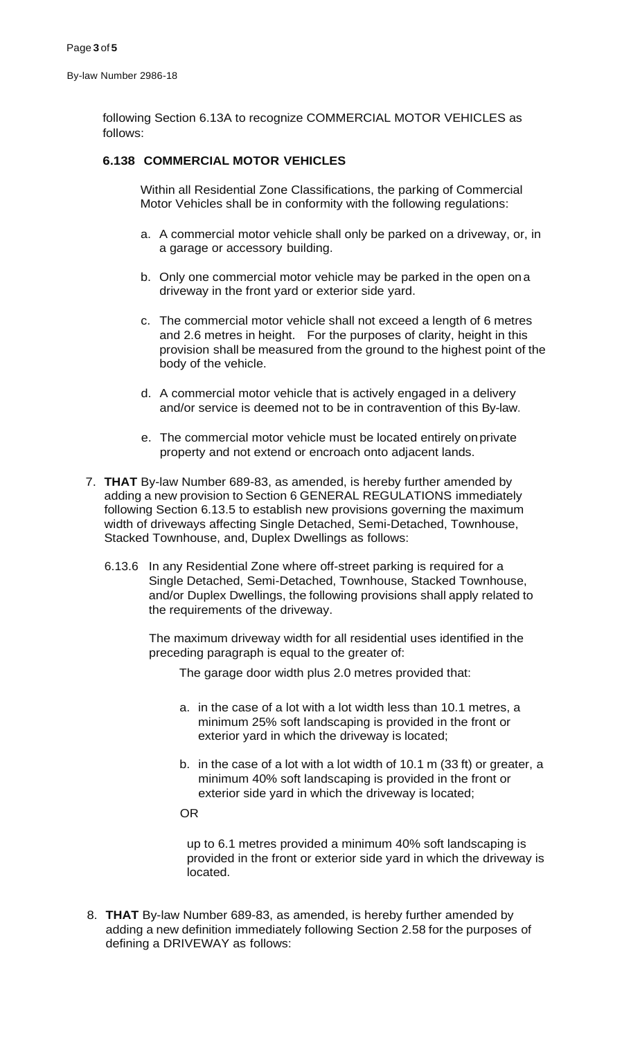following Section 6.13A to recognize COMMERCIAL MOTOR VEHICLES as follows:

## **6.138 COMMERCIAL MOTOR VEHICLES**

Within all Residential Zone Classifications, the parking of Commercial Motor Vehicles shall be in conformity with the following regulations:

- a. A commercial motor vehicle shall only be parked on a driveway, or, in a garage or accessory building.
- b. Only one commercial motor vehicle may be parked in the open ona driveway in the front yard or exterior side yard.
- c. The commercial motor vehicle shall not exceed a length of 6 metres and 2.6 metres in height. For the purposes of clarity, height in this provision shall be measured from the ground to the highest point of the body of the vehicle.
- d. A commercial motor vehicle that is actively engaged in a delivery and/or service is deemed not to be in contravention of this By-law.
- e. The commercial motor vehicle must be located entirely onprivate property and not extend or encroach onto adjacent lands.
- 7. **THAT** By-law Number 689-83, as amended, is hereby further amended by adding a new provision to Section 6 GENERAL REGULATIONS immediately following Section 6.13.5 to establish new provisions governing the maximum width of driveways affecting Single Detached, Semi-Detached, Townhouse, Stacked Townhouse, and, Duplex Dwellings as follows:
	- 6.13.6 In any Residential Zone where off-street parking is required for a Single Detached, Semi-Detached, Townhouse, Stacked Townhouse, and/or Duplex Dwellings, the following provisions shall apply related to the requirements of the driveway.

The maximum driveway width for all residential uses identified in the preceding paragraph is equal to the greater of:

The garage door width plus 2.0 metres provided that:

- a. in the case of a lot with a lot width less than 10.1 metres, a minimum 25% soft landscaping is provided in the front or exterior yard in which the driveway is located;
- b. in the case of a lot with a lot width of 10.1 m (33 ft) or greater, a minimum 40% soft landscaping is provided in the front or exterior side yard in which the driveway is located;
- OR

up to 6.1 metres provided a minimum 40% soft landscaping is provided in the front or exterior side yard in which the driveway is located.

8. **THAT** By-law Number 689-83, as amended, is hereby further amended by adding a new definition immediately following Section 2.58 for the purposes of defining a DRIVEWAY as follows: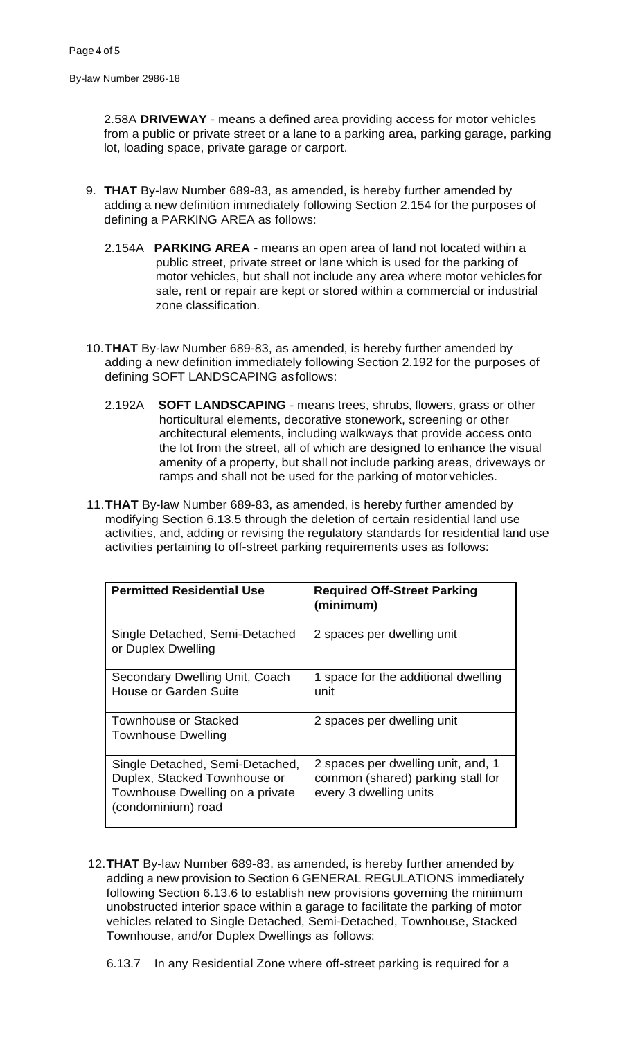By-law Number 2986-18

2.58A **DRIVEWAY** - means a defined area providing access for motor vehicles from a public or private street or a lane to a parking area, parking garage, parking lot, loading space, private garage or carport.

- 9. **THAT** By-law Number 689-83, as amended, is hereby further amended by adding a new definition immediately following Section 2.154 for the purposes of defining a PARKING AREA as follows:
	- 2.154A **PARKING AREA**  means an open area of land not located within a public street, private street or lane which is used for the parking of motor vehicles, but shall not include any area where motor vehicles for sale, rent or repair are kept or stored within a commercial or industrial zone classification.
- 10.**THAT** By-law Number 689-83, as amended, is hereby further amended by adding a new definition immediately following Section 2.192 for the purposes of defining SOFT LANDSCAPING asfollows:
	- 2.192A **SOFT LANDSCAPING**  means trees, shrubs, flowers, grass or other horticultural elements, decorative stonework, screening or other architectural elements, including walkways that provide access onto the lot from the street, all of which are designed to enhance the visual amenity of a property, but shall not include parking areas, driveways or ramps and shall not be used for the parking of motor vehicles.
- 11.**THAT** By-law Number 689-83, as amended, is hereby further amended by modifying Section 6.13.5 through the deletion of certain residential land use activities, and, adding or revising the regulatory standards for residential land use activities pertaining to off-street parking requirements uses as follows:

| <b>Permitted Residential Use</b>                                                                                         | <b>Required Off-Street Parking</b><br>(minimum)                                                   |
|--------------------------------------------------------------------------------------------------------------------------|---------------------------------------------------------------------------------------------------|
| Single Detached, Semi-Detached<br>or Duplex Dwelling                                                                     | 2 spaces per dwelling unit                                                                        |
| Secondary Dwelling Unit, Coach<br>House or Garden Suite                                                                  | 1 space for the additional dwelling<br>unit                                                       |
| <b>Townhouse or Stacked</b><br><b>Townhouse Dwelling</b>                                                                 | 2 spaces per dwelling unit                                                                        |
| Single Detached, Semi-Detached,<br>Duplex, Stacked Townhouse or<br>Townhouse Dwelling on a private<br>(condominium) road | 2 spaces per dwelling unit, and, 1<br>common (shared) parking stall for<br>every 3 dwelling units |

- 12.**THAT** By-law Number 689-83, as amended, is hereby further amended by adding a new provision to Section 6 GENERAL REGULATIONS immediately following Section 6.13.6 to establish new provisions governing the minimum unobstructed interior space within a garage to facilitate the parking of motor vehicles related to Single Detached, Semi-Detached, Townhouse, Stacked Townhouse, and/or Duplex Dwellings as follows:
	- 6.13.7 In any Residential Zone where off-street parking is required for a